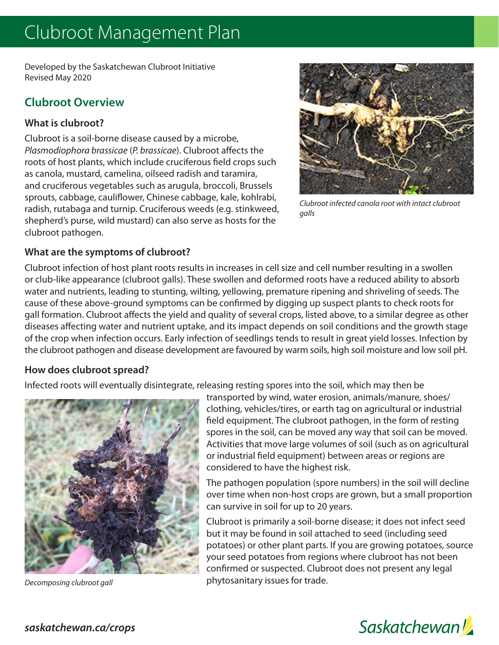## Clubroot Management Plan

Developed by the Saskatchewan Clubroot Initiative Revised May 2020

### **Clubroot Overview**

#### **What is clubroot?**

Clubroot is a soil-borne disease caused by a microbe, *Plasmodiophora brassicae* (*P. brassicae*). Clubroot affects the roots of host plants, which include cruciferous field crops such as canola, mustard, camelina, oilseed radish and taramira, and cruciferous vegetables such as arugula, broccoli, Brussels sprouts, cabbage, cauliflower, Chinese cabbage, kale, kohlrabi, radish, rutabaga and turnip. Cruciferous weeds (e.g. stinkweed, shepherd's purse, wild mustard) can also serve as hosts for the clubroot pathogen.



*Clubroot infected canola root with intact clubroot galls*

#### **What are the symptoms of clubroot?**

Clubroot infection of host plant roots results in increases in cell size and cell number resulting in a swollen or club-like appearance (clubroot galls). These swollen and deformed roots have a reduced ability to absorb water and nutrients, leading to stunting, wilting, yellowing, premature ripening and shriveling of seeds. The cause of these above-ground symptoms can be confirmed by digging up suspect plants to check roots for gall formation. Clubroot affects the yield and quality of several crops, listed above, to a similar degree as other diseases affecting water and nutrient uptake, and its impact depends on soil conditions and the growth stage of the crop when infection occurs. Early infection of seedlings tends to result in great yield losses. Infection by the clubroot pathogen and disease development are favoured by warm soils, high soil moisture and low soil pH.

#### **How does clubroot spread?**

Infected roots will eventually disintegrate, releasing resting spores into the soil, which may then be



*Decomposing clubroot gall*

transported by wind, water erosion, animals/manure, shoes/ clothing, vehicles/tires, or earth tag on agricultural or industrial field equipment. The clubroot pathogen, in the form of resting spores in the soil, can be moved any way that soil can be moved. Activities that move large volumes of soil (such as on agricultural or industrial field equipment) between areas or regions are considered to have the highest risk.

The pathogen population (spore numbers) in the soil will decline over time when non-host crops are grown, but a small proportion can survive in soil for up to 20 years.

Clubroot is primarily a soil-borne disease; it does not infect seed but it may be found in soil attached to seed (including seed potatoes) or other plant parts. If you are growing potatoes, source your seed potatoes from regions where clubroot has not been confirmed or suspected. Clubroot does not present any legal phytosanitary issues for trade.

## **Saskatchewan**

### *saskatchewan.ca/crops*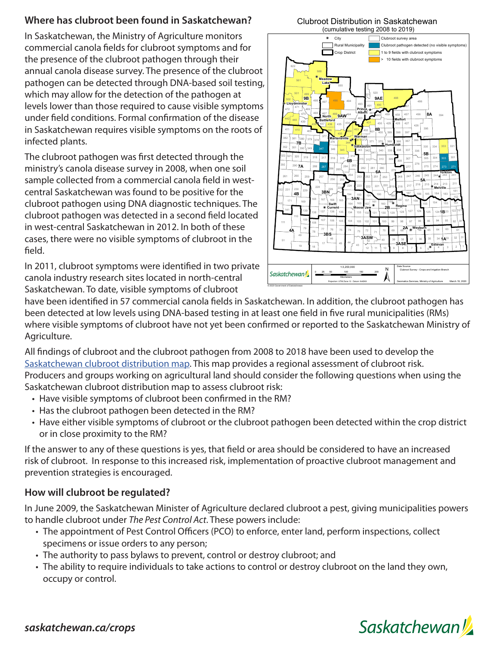#### **Where has clubroot been found in Saskatchewan?**

In Saskatchewan, the Ministry of Agriculture monitors commercial canola fields for clubroot symptoms and for the presence of the clubroot pathogen through their annual canola disease survey. The presence of the clubroot pathogen can be detected through DNA-based soil testing, which may allow for the detection of the pathogen at levels lower than those required to cause visible symptoms under field conditions. Formal confirmation of the disease in Saskatchewan requires visible symptoms on the roots of infected plants.

The clubroot pathogen was first detected through the ministry's canola disease survey in 2008, when one soil sample collected from a commercial canola field in westcentral Saskatchewan was found to be positive for the clubroot pathogen using DNA diagnostic techniques. The clubroot pathogen was detected in a second field located in west-central Saskatchewan in 2012. In both of these cases, there were no visible symptoms of clubroot in the field.

In 2011, clubroot symptoms were identified in two private canola industry research sites located in north-central Saskatchewan. To date, visible symptoms of clubroot



Clubroot Distribution in Saskatchewan

have been identified in 57 commercial canola fields in Saskatchewan. In addition, the clubroot pathogen has been detected at low levels using DNA-based testing in at least one field in five rural municipalities (RMs) where visible symptoms of clubroot have not yet been confirmed or reported to the Saskatchewan Ministry of Agriculture.

© 2020 Government of Saskatchewan

All findings of clubroot and the clubroot pathogen from 2008 to 2018 have been used to develop the [Saskatchewan clubroot distribution map.](https://publications.saskatchewan.ca/api/v1/products/92800/formats/109849/download) This map provides a regional assessment of clubroot risk. Producers and groups working on agricultural land should consider the following questions when using the Saskatchewan clubroot distribution map to assess clubroot risk:

- Have visible symptoms of clubroot been confirmed in the RM?
- Has the clubroot pathogen been detected in the RM?
- Have either visible symptoms of clubroot or the clubroot pathogen been detected within the crop district or in close proximity to the RM?

If the answer to any of these questions is yes, that field or area should be considered to have an increased risk of clubroot. In response to this increased risk, implementation of proactive clubroot management and prevention strategies is encouraged.

#### **How will clubroot be regulated?**

In June 2009, the Saskatchewan Minister of Agriculture declared clubroot a pest, giving municipalities powers to handle clubroot under *The Pest Control Act*. These powers include:

- The appointment of Pest Control Officers (PCO) to enforce, enter land, perform inspections, collect specimens or issue orders to any person;
- The authority to pass bylaws to prevent, control or destroy clubroot; and
- The ability to require individuals to take actions to control or destroy clubroot on the land they own, occupy or control.

#### *saskatchewan.ca/crops*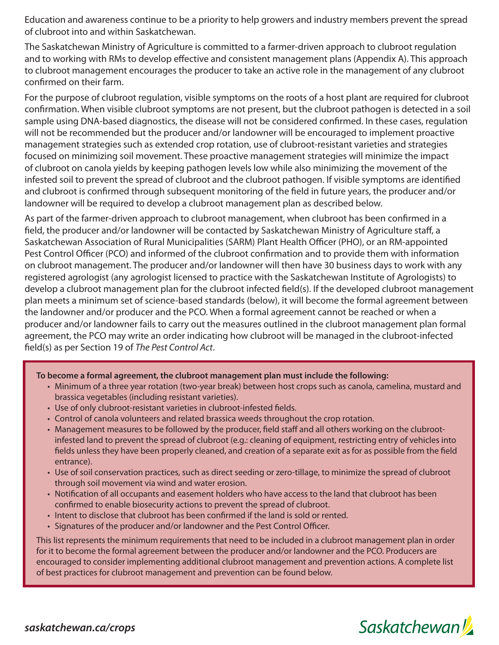Education and awareness continue to be a priority to help growers and industry members prevent the spread of clubroot into and within Saskatchewan.

The Saskatchewan Ministry of Agriculture is committed to a farmer-driven approach to clubroot regulation and to working with RMs to develop effective and consistent management plans (Appendix A). This approach to clubroot management encourages the producer to take an active role in the management of any clubroot confirmed on their farm.

For the purpose of clubroot regulation, visible symptoms on the roots of a host plant are required for clubroot confirmation. When visible clubroot symptoms are not present, but the clubroot pathogen is detected in a soil sample using DNA-based diagnostics, the disease will not be considered confirmed. In these cases, regulation will not be recommended but the producer and/or landowner will be encouraged to implement proactive management strategies such as extended crop rotation, use of clubroot-resistant varieties and strategies focused on minimizing soil movement. These proactive management strategies will minimize the impact of clubroot on canola yields by keeping pathogen levels low while also minimizing the movement of the infested soil to prevent the spread of clubroot and the clubroot pathogen. If visible symptoms are identified and clubroot is confirmed through subsequent monitoring of the field in future years, the producer and/or landowner will be required to develop a clubroot management plan as described below.

As part of the farmer-driven approach to clubroot management, when clubroot has been confirmed in a field, the producer and/or landowner will be contacted by Saskatchewan Ministry of Agriculture staff, a Saskatchewan Association of Rural Municipalities (SARM) Plant Health Officer (PHO), or an RM-appointed Pest Control Officer (PCO) and informed of the clubroot confirmation and to provide them with information on clubroot management. The producer and/or landowner will then have 30 business days to work with any registered agrologist (any agrologist licensed to practice with the Saskatchewan Institute of Agrologists) to develop a clubroot management plan for the clubroot infected field(s). If the developed clubroot management plan meets a minimum set of science-based standards (below), it will become the formal agreement between the landowner and/or producer and the PCO. When a formal agreement cannot be reached or when a producer and/or landowner fails to carry out the measures outlined in the clubroot management plan formal agreement, the PCO may write an order indicating how clubroot will be managed in the clubroot-infected field(s) as per Section 19 of *The Pest Control Act*.

#### **To become a formal agreement, the clubroot management plan must include the following:**

- Minimum of a three year rotation (two-year break) between host crops such as canola, camelina, mustard and brassica vegetables (including resistant varieties).
- Use of only clubroot-resistant varieties in clubroot-infested fields.
- Control of canola volunteers and related brassica weeds throughout the crop rotation.
- Management measures to be followed by the producer, field staff and all others working on the clubrootinfested land to prevent the spread of clubroot (e.g.: cleaning of equipment, restricting entry of vehicles into fields unless they have been properly cleaned, and creation of a separate exit as for as possible from the field entrance).
- Use of soil conservation practices, such as direct seeding or zero-tillage, to minimize the spread of clubroot through soil movement via wind and water erosion.
- Notification of all occupants and easement holders who have access to the land that clubroot has been confirmed to enable biosecurity actions to prevent the spread of clubroot.
- Intent to disclose that clubroot has been confirmed if the land is sold or rented.
- Signatures of the producer and/or landowner and the Pest Control Officer.

This list represents the minimum requirements that need to be included in a clubroot management plan in order for it to become the formal agreement between the producer and/or landowner and the PCO. Producers are encouraged to consider implementing additional clubroot management and prevention actions. A complete list of best practices for clubroot management and prevention can be found below.

#### *saskatchewan.ca/crops*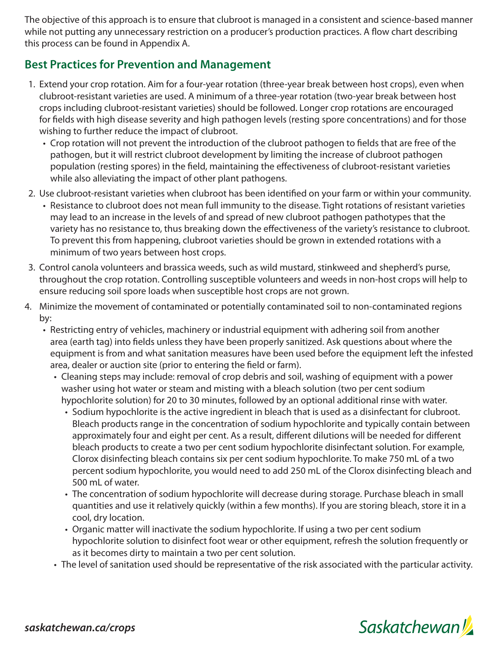The objective of this approach is to ensure that clubroot is managed in a consistent and science-based manner while not putting any unnecessary restriction on a producer's production practices. A flow chart describing this process can be found in Appendix A.

## **Best Practices for Prevention and Management**

- 1. Extend your crop rotation. Aim for a four-year rotation (three-year break between host crops), even when clubroot-resistant varieties are used. A minimum of a three-year rotation (two-year break between host crops including clubroot-resistant varieties) should be followed. Longer crop rotations are encouraged for fields with high disease severity and high pathogen levels (resting spore concentrations) and for those wishing to further reduce the impact of clubroot.
	- Crop rotation will not prevent the introduction of the clubroot pathogen to fields that are free of the pathogen, but it will restrict clubroot development by limiting the increase of clubroot pathogen population (resting spores) in the field, maintaining the effectiveness of clubroot-resistant varieties while also alleviating the impact of other plant pathogens.
- 2. Use clubroot-resistant varieties when clubroot has been identified on your farm or within your community.
	- Resistance to clubroot does not mean full immunity to the disease. Tight rotations of resistant varieties may lead to an increase in the levels of and spread of new clubroot pathogen pathotypes that the variety has no resistance to, thus breaking down the effectiveness of the variety's resistance to clubroot. To prevent this from happening, clubroot varieties should be grown in extended rotations with a minimum of two years between host crops.
- 3. Control canola volunteers and brassica weeds, such as wild mustard, stinkweed and shepherd's purse, throughout the crop rotation. Controlling susceptible volunteers and weeds in non-host crops will help to ensure reducing soil spore loads when susceptible host crops are not grown.
- 4. Minimize the movement of contaminated or potentially contaminated soil to non-contaminated regions by:
	- Restricting entry of vehicles, machinery or industrial equipment with adhering soil from another area (earth tag) into fields unless they have been properly sanitized. Ask questions about where the equipment is from and what sanitation measures have been used before the equipment left the infested area, dealer or auction site (prior to entering the field or farm).
		- Cleaning steps may include: removal of crop debris and soil, washing of equipment with a power washer using hot water or steam and misting with a bleach solution (two per cent sodium hypochlorite solution) for 20 to 30 minutes, followed by an optional additional rinse with water.
			- Sodium hypochlorite is the active ingredient in bleach that is used as a disinfectant for clubroot. Bleach products range in the concentration of sodium hypochlorite and typically contain between approximately four and eight per cent. As a result, different dilutions will be needed for different bleach products to create a two per cent sodium hypochlorite disinfectant solution. For example, Clorox disinfecting bleach contains six per cent sodium hypochlorite. To make 750 mL of a two percent sodium hypochlorite, you would need to add 250 mL of the Clorox disinfecting bleach and 500 mL of water.
			- The concentration of sodium hypochlorite will decrease during storage. Purchase bleach in small quantities and use it relatively quickly (within a few months). If you are storing bleach, store it in a cool, dry location.
			- Organic matter will inactivate the sodium hypochlorite. If using a two per cent sodium hypochlorite solution to disinfect foot wear or other equipment, refresh the solution frequently or as it becomes dirty to maintain a two per cent solution.
		- The level of sanitation used should be representative of the risk associated with the particular activity.

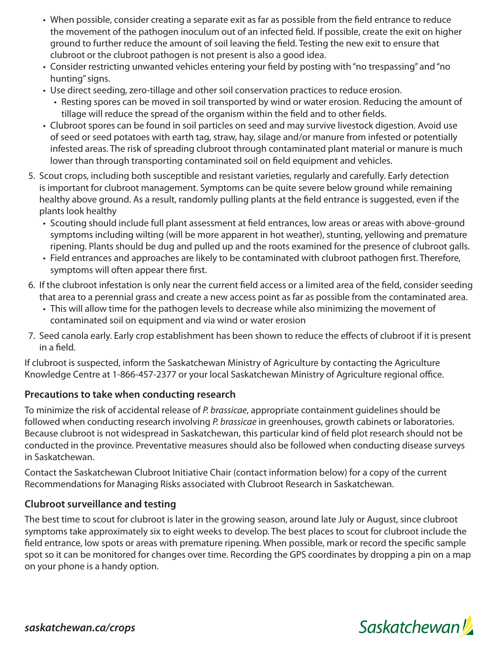- When possible, consider creating a separate exit as far as possible from the field entrance to reduce the movement of the pathogen inoculum out of an infected field. If possible, create the exit on higher ground to further reduce the amount of soil leaving the field. Testing the new exit to ensure that clubroot or the clubroot pathogen is not present is also a good idea.
- Consider restricting unwanted vehicles entering your field by posting with "no trespassing" and "no hunting" signs.
- Use direct seeding, zero-tillage and other soil conservation practices to reduce erosion.
	- Resting spores can be moved in soil transported by wind or water erosion. Reducing the amount of tillage will reduce the spread of the organism within the field and to other fields.
- Clubroot spores can be found in soil particles on seed and may survive livestock digestion. Avoid use of seed or seed potatoes with earth tag, straw, hay, silage and/or manure from infested or potentially infested areas. The risk of spreading clubroot through contaminated plant material or manure is much lower than through transporting contaminated soil on field equipment and vehicles.
- 5. Scout crops, including both susceptible and resistant varieties, regularly and carefully. Early detection is important for clubroot management. Symptoms can be quite severe below ground while remaining healthy above ground. As a result, randomly pulling plants at the field entrance is suggested, even if the plants look healthy
	- Scouting should include full plant assessment at field entrances, low areas or areas with above-ground symptoms including wilting (will be more apparent in hot weather), stunting, yellowing and premature ripening. Plants should be dug and pulled up and the roots examined for the presence of clubroot galls.
	- Field entrances and approaches are likely to be contaminated with clubroot pathogen first. Therefore, symptoms will often appear there first.
- 6. If the clubroot infestation is only near the current field access or a limited area of the field, consider seeding that area to a perennial grass and create a new access point as far as possible from the contaminated area.
	- This will allow time for the pathogen levels to decrease while also minimizing the movement of contaminated soil on equipment and via wind or water erosion
- 7. Seed canola early. Early crop establishment has been shown to reduce the effects of clubroot if it is present in a field.

If clubroot is suspected, inform the Saskatchewan Ministry of Agriculture by contacting the Agriculture Knowledge Centre at 1-866-457-2377 or your local Saskatchewan Ministry of Agriculture regional office.

### **Precautions to take when conducting research**

To minimize the risk of accidental release of *P. brassicae*, appropriate containment guidelines should be followed when conducting research involving *P. brassicae* in greenhouses, growth cabinets or laboratories. Because clubroot is not widespread in Saskatchewan, this particular kind of field plot research should not be conducted in the province. Preventative measures should also be followed when conducting disease surveys in Saskatchewan.

Contact the Saskatchewan Clubroot Initiative Chair (contact information below) for a copy of the current Recommendations for Managing Risks associated with Clubroot Research in Saskatchewan.

### **Clubroot surveillance and testing**

The best time to scout for clubroot is later in the growing season, around late July or August, since clubroot symptoms take approximately six to eight weeks to develop. The best places to scout for clubroot include the field entrance, low spots or areas with premature ripening. When possible, mark or record the specific sample spot so it can be monitored for changes over time. Recording the GPS coordinates by dropping a pin on a map on your phone is a handy option.

*saskatchewan.ca/crops*

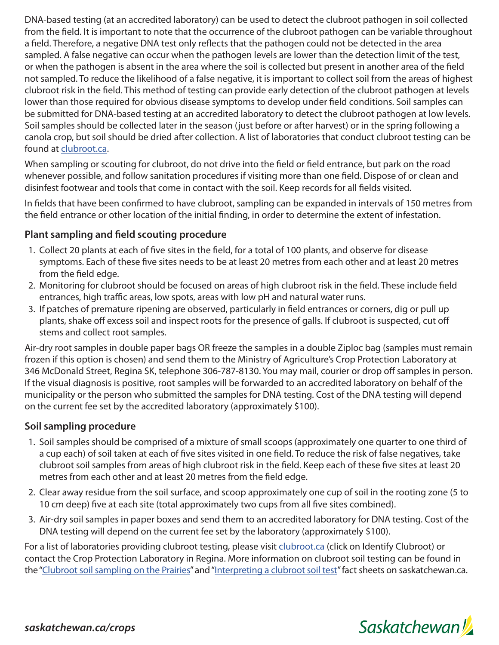DNA-based testing (at an accredited laboratory) can be used to detect the clubroot pathogen in soil collected from the field. It is important to note that the occurrence of the clubroot pathogen can be variable throughout a field. Therefore, a negative DNA test only reflects that the pathogen could not be detected in the area sampled. A false negative can occur when the pathogen levels are lower than the detection limit of the test, or when the pathogen is absent in the area where the soil is collected but present in another area of the field not sampled. To reduce the likelihood of a false negative, it is important to collect soil from the areas of highest clubroot risk in the field. This method of testing can provide early detection of the clubroot pathogen at levels lower than those required for obvious disease symptoms to develop under field conditions. Soil samples can be submitted for DNA-based testing at an accredited laboratory to detect the clubroot pathogen at low levels. Soil samples should be collected later in the season (just before or after harvest) or in the spring following a canola crop, but soil should be dried after collection. A list of laboratories that conduct clubroot testing can be found at [clubroot.ca](https://www.canolacouncil.org/canola-encyclopedia/diseases/clubroot/identify-clubroot/).

When sampling or scouting for clubroot, do not drive into the field or field entrance, but park on the road whenever possible, and follow sanitation procedures if visiting more than one field. Dispose of or clean and disinfest footwear and tools that come in contact with the soil. Keep records for all fields visited.

In fields that have been confirmed to have clubroot, sampling can be expanded in intervals of 150 metres from the field entrance or other location of the initial finding, in order to determine the extent of infestation.

#### **Plant sampling and field scouting procedure**

- 1. Collect 20 plants at each of five sites in the field, for a total of 100 plants, and observe for disease symptoms. Each of these five sites needs to be at least 20 metres from each other and at least 20 metres from the field edge.
- 2. Monitoring for clubroot should be focused on areas of high clubroot risk in the field. These include field entrances, high traffic areas, low spots, areas with low pH and natural water runs.
- 3. If patches of premature ripening are observed, particularly in field entrances or corners, dig or pull up plants, shake off excess soil and inspect roots for the presence of galls. If clubroot is suspected, cut off stems and collect root samples.

Air-dry root samples in double paper bags OR freeze the samples in a double Ziploc bag (samples must remain frozen if this option is chosen) and send them to the Ministry of Agriculture's Crop Protection Laboratory at 346 McDonald Street, Regina SK, telephone 306-787-8130. You may mail, courier or drop off samples in person. If the visual diagnosis is positive, root samples will be forwarded to an accredited laboratory on behalf of the municipality or the person who submitted the samples for DNA testing. Cost of the DNA testing will depend on the current fee set by the accredited laboratory (approximately \$100).

#### **Soil sampling procedure**

- 1. Soil samples should be comprised of a mixture of small scoops (approximately one quarter to one third of a cup each) of soil taken at each of five sites visited in one field. To reduce the risk of false negatives, take clubroot soil samples from areas of high clubroot risk in the field. Keep each of these five sites at least 20 metres from each other and at least 20 metres from the field edge.
- 2. Clear away residue from the soil surface, and scoop approximately one cup of soil in the rooting zone (5 to 10 cm deep) five at each site (total approximately two cups from all five sites combined).
- 3. Air-dry soil samples in paper boxes and send them to an accredited laboratory for DNA testing. Cost of the DNA testing will depend on the current fee set by the laboratory (approximately \$100).

For a list of laboratories providing clubroot testing, please visit [clubroot.ca](https://www.canolacouncil.org/canola-encyclopedia/diseases/clubroot/) (click on Identify Clubroot) or contact the Crop Protection Laboratory in Regina. More information on clubroot soil testing can be found in the ["Clubroot soil sampling on the Prairies](https://publications.saskatchewan.ca/api/v1/products/100972/formats/112712/download)" and ["Interpreting a clubroot soil test](https://publications.saskatchewan.ca/api/v1/products/100973/formats/111568/download)" fact sheets on saskatchewan.ca.

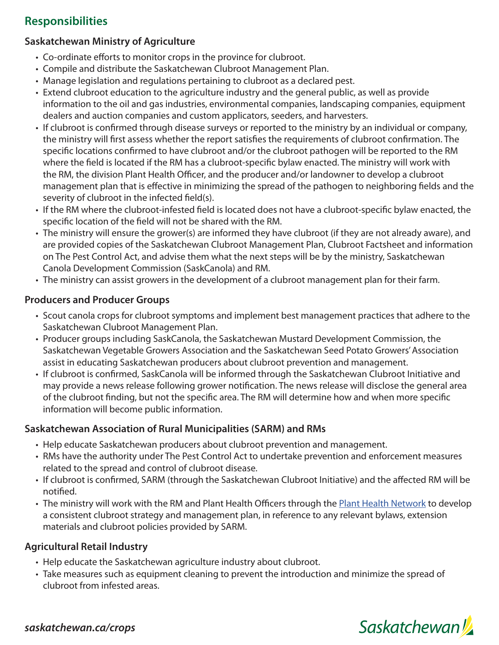## **Responsibilities**

### **Saskatchewan Ministry of Agriculture**

- Co-ordinate efforts to monitor crops in the province for clubroot.
- Compile and distribute the Saskatchewan Clubroot Management Plan.
- Manage legislation and regulations pertaining to clubroot as a declared pest.
- Extend clubroot education to the agriculture industry and the general public, as well as provide information to the oil and gas industries, environmental companies, landscaping companies, equipment dealers and auction companies and custom applicators, seeders, and harvesters.
- If clubroot is confirmed through disease surveys or reported to the ministry by an individual or company, the ministry will first assess whether the report satisfies the requirements of clubroot confirmation. The specific locations confirmed to have clubroot and/or the clubroot pathogen will be reported to the RM where the field is located if the RM has a clubroot-specific bylaw enacted. The ministry will work with the RM, the division Plant Health Officer, and the producer and/or landowner to develop a clubroot management plan that is effective in minimizing the spread of the pathogen to neighboring fields and the severity of clubroot in the infected field(s).
- If the RM where the clubroot-infested field is located does not have a clubroot-specific bylaw enacted, the specific location of the field will not be shared with the RM.
- The ministry will ensure the grower(s) are informed they have clubroot (if they are not already aware), and are provided copies of the Saskatchewan Clubroot Management Plan, Clubroot Factsheet and information on The Pest Control Act, and advise them what the next steps will be by the ministry, Saskatchewan Canola Development Commission (SaskCanola) and RM.
- The ministry can assist growers in the development of a clubroot management plan for their farm.

### **Producers and Producer Groups**

- Scout canola crops for clubroot symptoms and implement best management practices that adhere to the Saskatchewan Clubroot Management Plan.
- Producer groups including SaskCanola, the Saskatchewan Mustard Development Commission, the Saskatchewan Vegetable Growers Association and the Saskatchewan Seed Potato Growers' Association assist in educating Saskatchewan producers about clubroot prevention and management.
- If clubroot is confirmed, SaskCanola will be informed through the Saskatchewan Clubroot Initiative and may provide a news release following grower notification. The news release will disclose the general area of the clubroot finding, but not the specific area. The RM will determine how and when more specific information will become public information.

## **Saskatchewan Association of Rural Municipalities (SARM) and RMs**

- Help educate Saskatchewan producers about clubroot prevention and management.
- RMs have the authority under The Pest Control Act to undertake prevention and enforcement measures related to the spread and control of clubroot disease.
- If clubroot is confirmed, SARM (through the Saskatchewan Clubroot Initiative) and the affected RM will be notified.
- The ministry will work with the RM and Plant Health Officers through the [Plant Health Network](https://sarm.ca/programs/administered-programs/ag-programs/cap-phn) to develop a consistent clubroot strategy and management plan, in reference to any relevant bylaws, extension materials and clubroot policies provided by SARM.

## **Agricultural Retail Industry**

- Help educate the Saskatchewan agriculture industry about clubroot.
- Take measures such as equipment cleaning to prevent the introduction and minimize the spread of clubroot from infested areas.

*saskatchewan.ca/crops*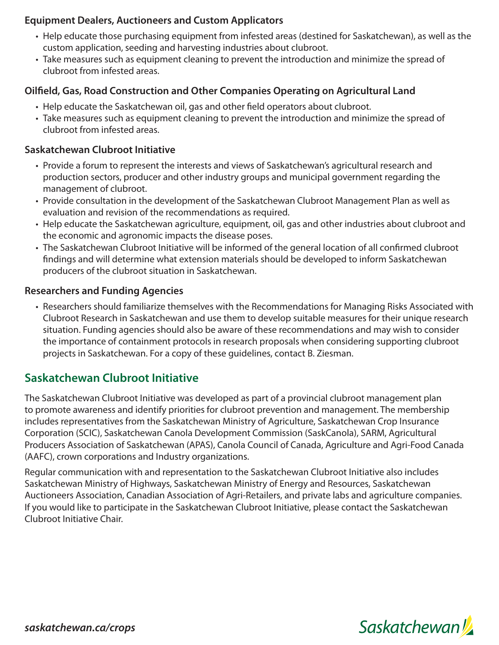#### **Equipment Dealers, Auctioneers and Custom Applicators**

- Help educate those purchasing equipment from infested areas (destined for Saskatchewan), as well as the custom application, seeding and harvesting industries about clubroot.
- Take measures such as equipment cleaning to prevent the introduction and minimize the spread of clubroot from infested areas.

#### **Oilfield, Gas, Road Construction and Other Companies Operating on Agricultural Land**

- Help educate the Saskatchewan oil, gas and other field operators about clubroot.
- Take measures such as equipment cleaning to prevent the introduction and minimize the spread of clubroot from infested areas.

#### **Saskatchewan Clubroot Initiative**

- Provide a forum to represent the interests and views of Saskatchewan's agricultural research and production sectors, producer and other industry groups and municipal government regarding the management of clubroot.
- Provide consultation in the development of the Saskatchewan Clubroot Management Plan as well as evaluation and revision of the recommendations as required.
- Help educate the Saskatchewan agriculture, equipment, oil, gas and other industries about clubroot and the economic and agronomic impacts the disease poses.
- The Saskatchewan Clubroot Initiative will be informed of the general location of all confirmed clubroot findings and will determine what extension materials should be developed to inform Saskatchewan producers of the clubroot situation in Saskatchewan.

#### **Researchers and Funding Agencies**

• Researchers should familiarize themselves with the Recommendations for Managing Risks Associated with Clubroot Research in Saskatchewan and use them to develop suitable measures for their unique research situation. Funding agencies should also be aware of these recommendations and may wish to consider the importance of containment protocols in research proposals when considering supporting clubroot projects in Saskatchewan. For a copy of these guidelines, contact B. Ziesman.

### **Saskatchewan Clubroot Initiative**

The Saskatchewan Clubroot Initiative was developed as part of a provincial clubroot management plan to promote awareness and identify priorities for clubroot prevention and management. The membership includes representatives from the Saskatchewan Ministry of Agriculture, Saskatchewan Crop Insurance Corporation (SCIC), Saskatchewan Canola Development Commission (SaskCanola), SARM, Agricultural Producers Association of Saskatchewan (APAS), Canola Council of Canada, Agriculture and Agri-Food Canada (AAFC), crown corporations and Industry organizations.

Regular communication with and representation to the Saskatchewan Clubroot Initiative also includes Saskatchewan Ministry of Highways, Saskatchewan Ministry of Energy and Resources, Saskatchewan Auctioneers Association, Canadian Association of Agri-Retailers, and private labs and agriculture companies. If you would like to participate in the Saskatchewan Clubroot Initiative, please contact the Saskatchewan Clubroot Initiative Chair.

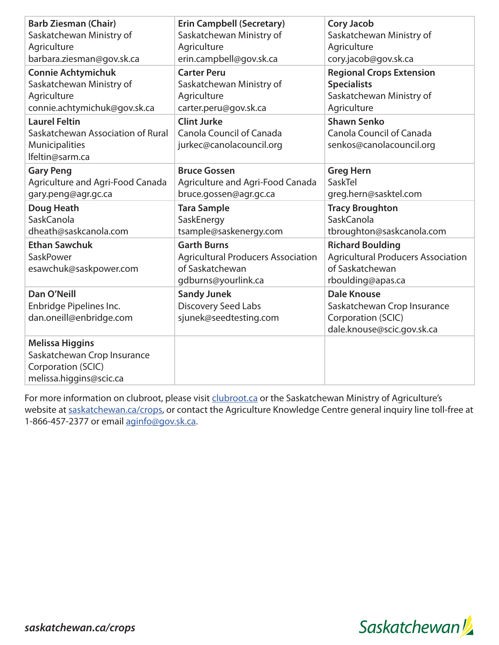| <b>Barb Ziesman (Chair)</b>                                                                            | <b>Erin Campbell (Secretary)</b>                                                                          | <b>Cory Jacob</b>                                                                                            |
|--------------------------------------------------------------------------------------------------------|-----------------------------------------------------------------------------------------------------------|--------------------------------------------------------------------------------------------------------------|
| Saskatchewan Ministry of                                                                               | Saskatchewan Ministry of                                                                                  | Saskatchewan Ministry of                                                                                     |
| Agriculture                                                                                            | Agriculture                                                                                               | Agriculture                                                                                                  |
| barbara.ziesman@gov.sk.ca                                                                              | erin.campbell@gov.sk.ca                                                                                   | cory.jacob@gov.sk.ca                                                                                         |
| <b>Connie Achtymichuk</b>                                                                              | <b>Carter Peru</b>                                                                                        | <b>Regional Crops Extension</b>                                                                              |
| Saskatchewan Ministry of                                                                               | Saskatchewan Ministry of                                                                                  | <b>Specialists</b>                                                                                           |
| Agriculture                                                                                            | Agriculture                                                                                               | Saskatchewan Ministry of                                                                                     |
| connie.achtymichuk@gov.sk.ca                                                                           | carter.peru@gov.sk.ca                                                                                     | Agriculture                                                                                                  |
| <b>Laurel Feltin</b><br>Saskatchewan Association of Rural<br><b>Municipalities</b><br>lfeltin@sarm.ca  | <b>Clint Jurke</b><br>Canola Council of Canada<br>jurkec@canolacouncil.org                                | <b>Shawn Senko</b><br><b>Canola Council of Canada</b><br>senkos@canolacouncil.org                            |
| <b>Gary Peng</b>                                                                                       | <b>Bruce Gossen</b>                                                                                       | <b>Greg Hern</b>                                                                                             |
| Agriculture and Agri-Food Canada                                                                       | Agriculture and Agri-Food Canada                                                                          | SaskTel                                                                                                      |
| gary.peng@agr.gc.ca                                                                                    | bruce.gossen@agr.gc.ca                                                                                    | greg.hern@sasktel.com                                                                                        |
| Doug Heath                                                                                             | <b>Tara Sample</b>                                                                                        | <b>Tracy Broughton</b>                                                                                       |
| SaskCanola                                                                                             | SaskEnergy                                                                                                | SaskCanola                                                                                                   |
| dheath@saskcanola.com                                                                                  | tsample@saskenergy.com                                                                                    | tbroughton@saskcanola.com                                                                                    |
| <b>Ethan Sawchuk</b><br>SaskPower<br>esawchuk@saskpower.com                                            | <b>Garth Burns</b><br><b>Agricultural Producers Association</b><br>of Saskatchewan<br>gdburns@yourlink.ca | <b>Richard Boulding</b><br><b>Agricultural Producers Association</b><br>of Saskatchewan<br>rboulding@apas.ca |
| Dan O'Neill<br>Enbridge Pipelines Inc.<br>dan.oneill@enbridge.com                                      | <b>Sandy Junek</b><br><b>Discovery Seed Labs</b><br>sjunek@seedtesting.com                                | <b>Dale Knouse</b><br>Saskatchewan Crop Insurance<br>Corporation (SCIC)<br>dale.knouse@scic.gov.sk.ca        |
| <b>Melissa Higgins</b><br>Saskatchewan Crop Insurance<br>Corporation (SCIC)<br>melissa.higgins@scic.ca |                                                                                                           |                                                                                                              |

For more information on clubroot, please visit [clubroot.ca](https://www.canolacouncil.org/canola-encyclopedia/diseases/clubroot/) or the Saskatchewan Ministry of Agriculture's website at [saskatchewan.ca/crops](https://www.saskatchewan.ca/crops#utm_campaign=q2_2015&utm_medium=short&utm_source=%2Fcrops), or contact the Agriculture Knowledge Centre general inquiry line toll-free at 1-866-457-2377 or email [aginfo@gov.sk.ca](mailto:aginfo@gov.sk.ca).